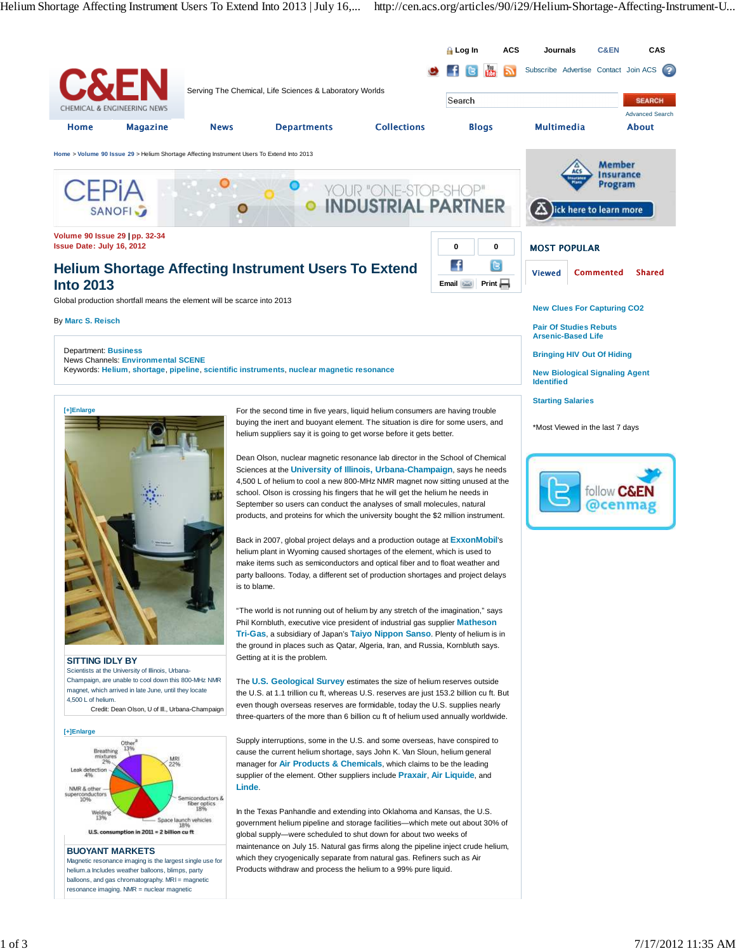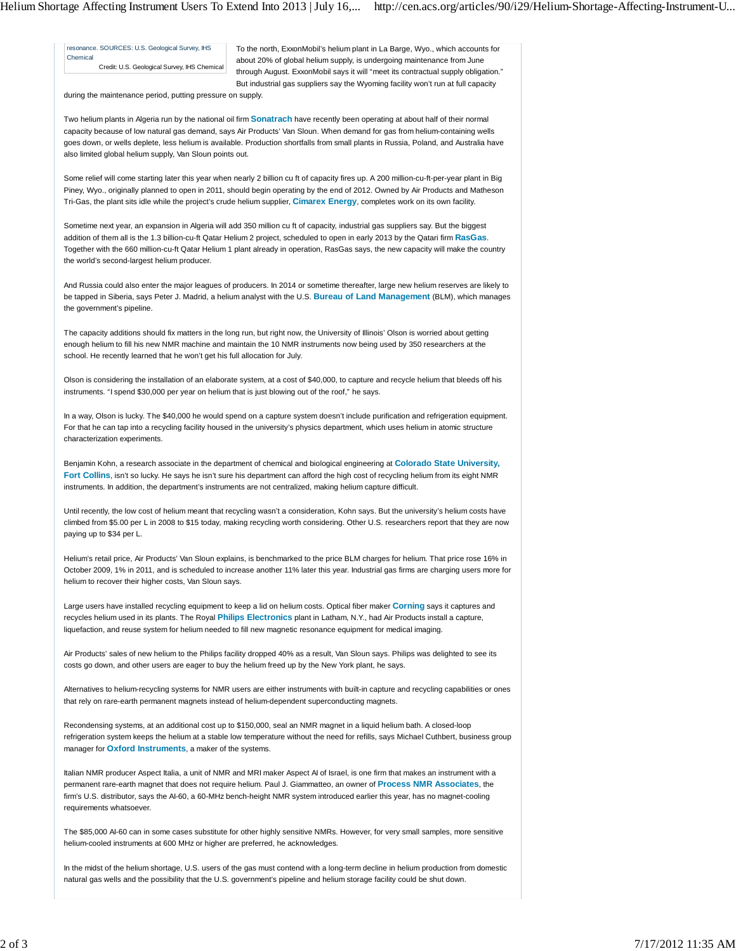resonance. SOURCES: U.S. Geological Survey, IHS Chemical Credit: U.S. Geological Survey, IHS Chemical To the north, ExxonMobil's helium plant in La Barge, Wyo., which accounts for about 20% of global helium supply, is undergoing maintenance from June through August. ExxonMobil says it will "meet its contractual supply obligation." But industrial gas suppliers say the Wyoming facility won't run at full capacity

during the maintenance period, putting pressure on supply.

Two helium plants in Algeria run by the national oil firm **Sonatrach** have recently been operating at about half of their normal capacity because of low natural gas demand, says Air Products' Van Sloun. When demand for gas from helium-containing wells goes down, or wells deplete, less helium is available. Production shortfalls from small plants in Russia, Poland, and Australia have also limited global helium supply, Van Sloun points out.

Some relief will come starting later this year when nearly 2 billion cu ft of capacity fires up. A 200 million-cu-ft-per-year plant in Big Piney, Wyo., originally planned to open in 2011, should begin operating by the end of 2012. Owned by Air Products and Matheson Tri-Gas, the plant sits idle while the project's crude helium supplier, **Cimarex Energy**, completes work on its own facility.

Sometime next year, an expansion in Algeria will add 350 million cu ft of capacity, industrial gas suppliers say. But the biggest addition of them all is the 1.3 billion-cu-ft Qatar Helium 2 project, scheduled to open in early 2013 by the Qatari firm **RasGas**. Together with the 660 million-cu-ft Qatar Helium 1 plant already in operation, RasGas says, the new capacity will make the country the world's second-largest helium producer.

And Russia could also enter the major leagues of producers. In 2014 or sometime thereafter, large new helium reserves are likely to be tapped in Siberia, says Peter J. Madrid, a helium analyst with the U.S. **Bureau of Land Management** (BLM), which manages the government's pipeline.

The capacity additions should fix matters in the long run, but right now, the University of Illinois' Olson is worried about getting enough helium to fill his new NMR machine and maintain the 10 NMR instruments now being used by 350 researchers at the school. He recently learned that he won't get his full allocation for July.

Olson is considering the installation of an elaborate system, at a cost of \$40,000, to capture and recycle helium that bleeds off his instruments. "I spend \$30,000 per year on helium that is just blowing out of the roof," he says.

In a way, Olson is lucky. The \$40,000 he would spend on a capture system doesn't include purification and refrigeration equipment. For that he can tap into a recycling facility housed in the university's physics department, which uses helium in atomic structure characterization experiments.

Benjamin Kohn, a research associate in the department of chemical and biological engineering at **Colorado State University, Fort Collins**, isn't so lucky. He says he isn't sure his department can afford the high cost of recycling helium from its eight NMR instruments. In addition, the department's instruments are not centralized, making helium capture difficult.

Until recently, the low cost of helium meant that recycling wasn't a consideration, Kohn says. But the university's helium costs have climbed from \$5.00 per L in 2008 to \$15 today, making recycling worth considering. Other U.S. researchers report that they are now paying up to \$34 per L.

Helium's retail price, Air Products' Van Sloun explains, is benchmarked to the price BLM charges for helium. That price rose 16% in October 2009, 1% in 2011, and is scheduled to increase another 11% later this year. Industrial gas firms are charging users more for helium to recover their higher costs, Van Sloun says.

Large users have installed recycling equipment to keep a lid on helium costs. Optical fiber maker **Corning** says it captures and recycles helium used in its plants. The Royal **Philips Electronics** plant in Latham, N.Y., had Air Products install a capture, liquefaction, and reuse system for helium needed to fill new magnetic resonance equipment for medical imaging.

Air Products' sales of new helium to the Philips facility dropped 40% as a result, Van Sloun says. Philips was delighted to see its costs go down, and other users are eager to buy the helium freed up by the New York plant, he says.

Alternatives to helium-recycling systems for NMR users are either instruments with built-in capture and recycling capabilities or ones that rely on rare-earth permanent magnets instead of helium-dependent superconducting magnets.

Recondensing systems, at an additional cost up to \$150,000, seal an NMR magnet in a liquid helium bath. A closed-loop refrigeration system keeps the helium at a stable low temperature without the need for refills, says Michael Cuthbert, business group manager for **Oxford Instruments**, a maker of the systems.

Italian NMR producer Aspect Italia, a unit of NMR and MRI maker Aspect AI of Israel, is one firm that makes an instrument with a permanent rare-earth magnet that does not require helium. Paul J. Giammatteo, an owner of **Process NMR Associates**, the firm's U.S. distributor, says the AI-60, a 60-MHz bench-height NMR system introduced earlier this year, has no magnet-cooling requirements whatsoever.

The \$85,000 AI-60 can in some cases substitute for other highly sensitive NMRs. However, for very small samples, more sensitive helium-cooled instruments at 600 MHz or higher are preferred, he acknowledges.

In the midst of the helium shortage, U.S. users of the gas must contend with a long-term decline in helium production from domestic natural gas wells and the possibility that the U.S. government's pipeline and helium storage facility could be shut down.